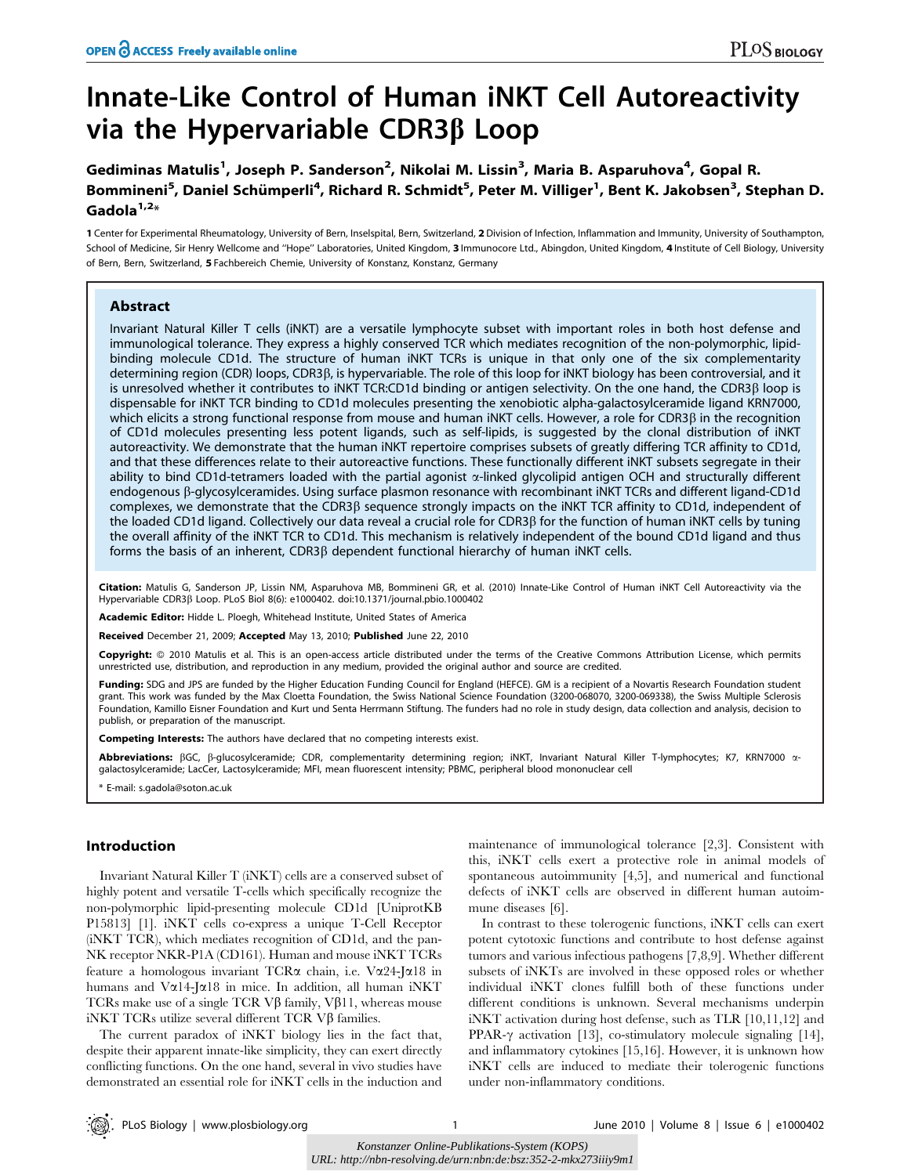# Innate-Like Control of Human iNKT Cell Autoreactivity via the Hypervariable CDR3 $\beta$  Loop

Gediminas Matulis<sup>1</sup>, Joseph P. Sanderson<sup>2</sup>, Nikolai M. Lissin<sup>3</sup>, Maria B. Asparuhova<sup>4</sup>, Gopal R. Bommineni<sup>5</sup>, Daniel Schümperli<sup>4</sup>, Richard R. Schmidt<sup>5</sup>, Peter M. Villiger<sup>1</sup>, Bent K. Jakobsen<sup>3</sup>, Stephan D. Gadola $1,2*$ 

1 Center for Experimental Rheumatology, University of Bern, Inselspital, Bern, Switzerland, 2 Division of Infection, Inflammation and Immunity, University of Southampton, School of Medicine, Sir Henry Wellcome and ''Hope'' Laboratories, United Kingdom, 3 Immunocore Ltd., Abingdon, United Kingdom, 4 Institute of Cell Biology, University of Bern, Bern, Switzerland, 5 Fachbereich Chemie, University of Konstanz, Konstanz, Germany

# Abstract

Invariant Natural Killer T cells (iNKT) are a versatile lymphocyte subset with important roles in both host defense and immunological tolerance. They express a highly conserved TCR which mediates recognition of the non-polymorphic, lipidbinding molecule CD1d. The structure of human iNKT TCRs is unique in that only one of the six complementarity determining region (CDR) loops, CDR3β, is hypervariable. The role of this loop for iNKT biology has been controversial, and it is unresolved whether it contributes to iNKT TCR:CD1d binding or antigen selectivity. On the one hand, the CDR3β loop is dispensable for iNKT TCR binding to CD1d molecules presenting the xenobiotic alpha-galactosylceramide ligand KRN7000, which elicits a strong functional response from mouse and human iNKT cells. However, a role for CDR3β in the recognition of CD1d molecules presenting less potent ligands, such as self-lipids, is suggested by the clonal distribution of iNKT autoreactivity. We demonstrate that the human iNKT repertoire comprises subsets of greatly differing TCR affinity to CD1d, and that these differences relate to their autoreactive functions. These functionally different iNKT subsets segregate in their ability to bind CD1d-tetramers loaded with the partial agonist  $\alpha$ -linked glycolipid antigen OCH and structurally different endogenous β-glycosylceramides. Using surface plasmon resonance with recombinant iNKT TCRs and different ligand-CD1d complexes, we demonstrate that the CDR3 $\beta$  sequence strongly impacts on the iNKT TCR affinity to CD1d, independent of the loaded CD1d ligand. Collectively our data reveal a crucial role for CDR3b for the function of human iNKT cells by tuning the overall affinity of the iNKT TCR to CD1d. This mechanism is relatively independent of the bound CD1d ligand and thus forms the basis of an inherent,  $CDR3\beta$  dependent functional hierarchy of human iNKT cells.

Citation: Matulis G, Sanderson JP, Lissin NM, Asparuhova MB, Bommineni GR, et al. (2010) Innate-Like Control of Human iNKT Cell Autoreactivity via the Hypervariable CDR3b Loop. PLoS Biol 8(6): e1000402. doi:10.1371/journal.pbio.1000402

Academic Editor: Hidde L. Ploegh, Whitehead Institute, United States of America

Received December 21, 2009; Accepted May 13, 2010; Published June 22, 2010

Copyright: © 2010 Matulis et al. This is an open-access article distributed under the terms of the Creative Commons Attribution License, which permits unrestricted use, distribution, and reproduction in any medium, provided the original author and source are credited.

Funding: SDG and JPS are funded by the Higher Education Funding Council for England (HEFCE). GM is a recipient of a Novartis Research Foundation student grant. This work was funded by the Max Cloetta Foundation, the Swiss National Science Foundation (3200-068070, 3200-069338), the Swiss Multiple Sclerosis Foundation, Kamillo Eisner Foundation and Kurt und Senta Herrmann Stiftung. The funders had no role in study design, data collection and analysis, decision to publish, or preparation of the manuscript.

Competing Interests: The authors have declared that no competing interests exist.

Abbreviations: BGC, B-glucosylceramide; CDR, complementarity determining region; iNKT, Invariant Natural Killer T-lymphocytes; K7, KRN7000 agalactosylceramide; LacCer, Lactosylceramide; MFI, mean fluorescent intensity; PBMC, peripheral blood mononuclear cell

\* E-mail: s.gadola@soton.ac.uk

# Introduction

Invariant Natural Killer T (iNKT) cells are a conserved subset of highly potent and versatile T-cells which specifically recognize the non-polymorphic lipid-presenting molecule CD1d [UniprotKB P15813] [1]. iNKT cells co-express a unique T-Cell Receptor (iNKT TCR), which mediates recognition of CD1d, and the pan-NK receptor NKR-P1A (CD161). Human and mouse iNKT TCRs feature a homologous invariant TCR $\alpha$  chain, i.e. V $\alpha$ 24-J $\alpha$ 18 in humans and V $\alpha$ 14-J $\alpha$ 18 in mice. In addition, all human iNKT TCRs make use of a single TCR V $\beta$  family, V $\beta$ 11, whereas mouse iNKT TCRs utilize several different TCR  $V\beta$  families.

The current paradox of iNKT biology lies in the fact that, despite their apparent innate-like simplicity, they can exert directly conflicting functions. On the one hand, several in vivo studies have demonstrated an essential role for iNKT cells in the induction and maintenance of immunological tolerance [2,3]. Consistent with this, iNKT cells exert a protective role in animal models of spontaneous autoimmunity [4,5], and numerical and functional defects of iNKT cells are observed in different human autoimmune diseases [6].

In contrast to these tolerogenic functions, iNKT cells can exert potent cytotoxic functions and contribute to host defense against tumors and various infectious pathogens [7,8,9]. Whether different subsets of iNKTs are involved in these opposed roles or whether individual iNKT clones fulfill both of these functions under different conditions is unknown. Several mechanisms underpin iNKT activation during host defense, such as TLR [10,11,12] and PPAR- $\gamma$  activation [13], co-stimulatory molecule signaling [14], and inflammatory cytokines [15,16]. However, it is unknown how iNKT cells are induced to mediate their tolerogenic functions under non-inflammatory conditions.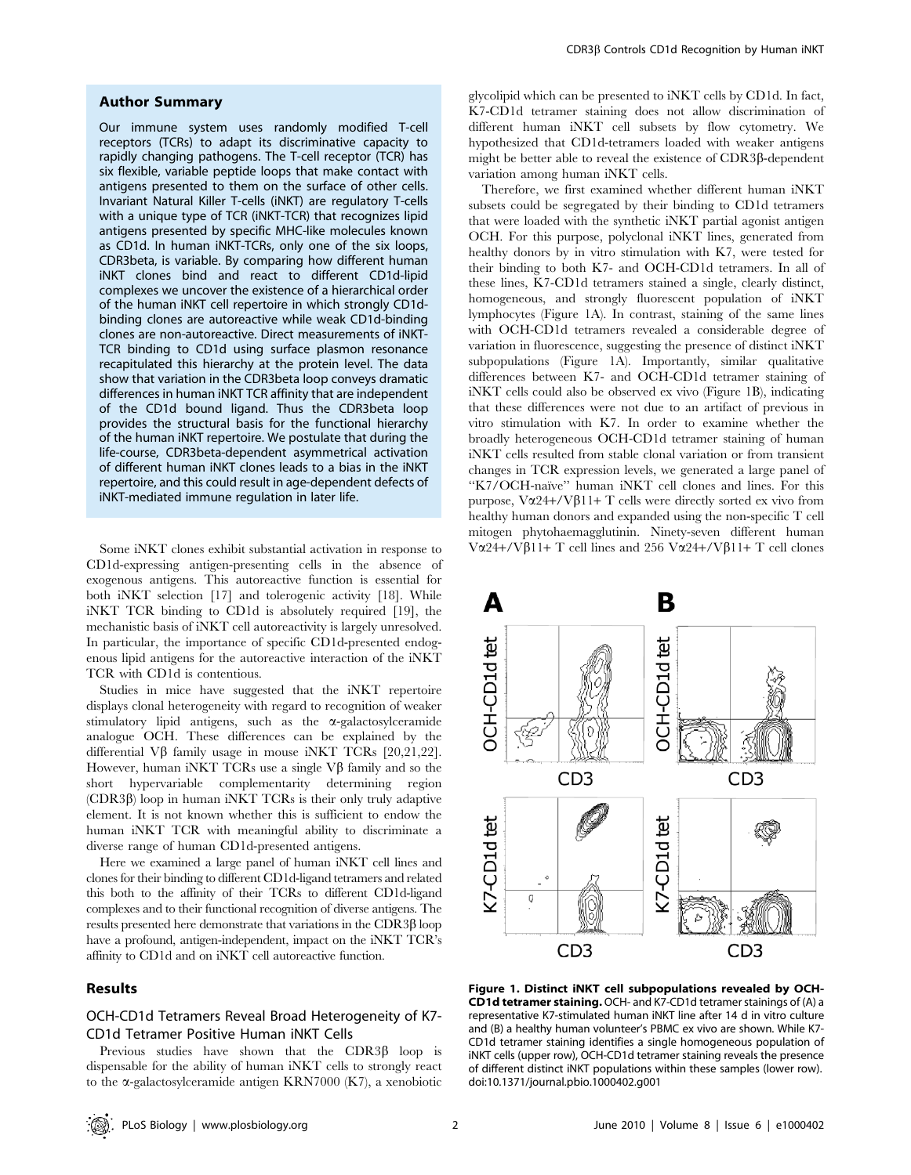#### Author Summary

Our immune system uses randomly modified T-cell receptors (TCRs) to adapt its discriminative capacity to rapidly changing pathogens. The T-cell receptor (TCR) has six flexible, variable peptide loops that make contact with antigens presented to them on the surface of other cells. Invariant Natural Killer T-cells (iNKT) are regulatory T-cells with a unique type of TCR (iNKT-TCR) that recognizes lipid antigens presented by specific MHC-like molecules known as CD1d. In human iNKT-TCRs, only one of the six loops, CDR3beta, is variable. By comparing how different human iNKT clones bind and react to different CD1d-lipid complexes we uncover the existence of a hierarchical order of the human iNKT cell repertoire in which strongly CD1dbinding clones are autoreactive while weak CD1d-binding clones are non-autoreactive. Direct measurements of iNKT-TCR binding to CD1d using surface plasmon resonance recapitulated this hierarchy at the protein level. The data show that variation in the CDR3beta loop conveys dramatic differences in human iNKT TCR affinity that are independent of the CD1d bound ligand. Thus the CDR3beta loop provides the structural basis for the functional hierarchy of the human iNKT repertoire. We postulate that during the life-course, CDR3beta-dependent asymmetrical activation of different human iNKT clones leads to a bias in the iNKT repertoire, and this could result in age-dependent defects of iNKT-mediated immune regulation in later life.

Some iNKT clones exhibit substantial activation in response to CD1d-expressing antigen-presenting cells in the absence of exogenous antigens. This autoreactive function is essential for both iNKT selection [17] and tolerogenic activity [18]. While iNKT TCR binding to CD1d is absolutely required [19], the mechanistic basis of iNKT cell autoreactivity is largely unresolved. In particular, the importance of specific CD1d-presented endogenous lipid antigens for the autoreactive interaction of the iNKT TCR with CD1d is contentious.

Studies in mice have suggested that the iNKT repertoire displays clonal heterogeneity with regard to recognition of weaker stimulatory lipid antigens, such as the  $\alpha$ -galactosylceramide analogue OCH. These differences can be explained by the differential  $V\beta$  family usage in mouse iNKT TCRs [20,21,22]. However, human iNKT TCRs use a single  $\nabla \beta$  family and so the short hypervariable complementarity determining region  $(CDR3\beta)$  loop in human iNKT TCRs is their only truly adaptive element. It is not known whether this is sufficient to endow the human iNKT TCR with meaningful ability to discriminate a diverse range of human CD1d-presented antigens.

Here we examined a large panel of human iNKT cell lines and clones for their binding to different CD1d-ligand tetramers and related this both to the affinity of their TCRs to different CD1d-ligand complexes and to their functional recognition of diverse antigens. The results presented here demonstrate that variations in the CDR3b loop have a profound, antigen-independent, impact on the iNKT TCR's affinity to CD1d and on iNKT cell autoreactive function.

# Results

# OCH-CD1d Tetramers Reveal Broad Heterogeneity of K7- CD1d Tetramer Positive Human iNKT Cells

Previous studies have shown that the CDR3 $\beta$  loop is dispensable for the ability of human iNKT cells to strongly react to the a-galactosylceramide antigen KRN7000 (K7), a xenobiotic

glycolipid which can be presented to iNKT cells by CD1d. In fact, K7-CD1d tetramer staining does not allow discrimination of different human iNKT cell subsets by flow cytometry. We hypothesized that CD1d-tetramers loaded with weaker antigens might be better able to reveal the existence of  $CDR3\beta$ -dependent variation among human iNKT cells.

Therefore, we first examined whether different human iNKT subsets could be segregated by their binding to CD1d tetramers that were loaded with the synthetic iNKT partial agonist antigen OCH. For this purpose, polyclonal iNKT lines, generated from healthy donors by in vitro stimulation with K7, were tested for their binding to both K7- and OCH-CD1d tetramers. In all of these lines, K7-CD1d tetramers stained a single, clearly distinct, homogeneous, and strongly fluorescent population of iNKT lymphocytes (Figure 1A). In contrast, staining of the same lines with OCH-CD1d tetramers revealed a considerable degree of variation in fluorescence, suggesting the presence of distinct iNKT subpopulations (Figure 1A). Importantly, similar qualitative differences between K7- and OCH-CD1d tetramer staining of iNKT cells could also be observed ex vivo (Figure 1B), indicating that these differences were not due to an artifact of previous in vitro stimulation with K7. In order to examine whether the broadly heterogeneous OCH-CD1d tetramer staining of human iNKT cells resulted from stable clonal variation or from transient changes in TCR expression levels, we generated a large panel of "K7/OCH-naïve" human iNKT cell clones and lines. For this purpose,  $V\alpha$ 24+/V $\beta$ 11+ T cells were directly sorted ex vivo from healthy human donors and expanded using the non-specific T cell mitogen phytohaemagglutinin. Ninety-seven different human V $\alpha$ 24+/V $\beta$ 11+ T cell lines and 256 V $\alpha$ 24+/V $\beta$ 11+ T cell clones



Figure 1. Distinct iNKT cell subpopulations revealed by OCH-CD1d tetramer staining. OCH- and K7-CD1d tetramer stainings of (A) a representative K7-stimulated human iNKT line after 14 d in vitro culture and (B) a healthy human volunteer's PBMC ex vivo are shown. While K7- CD1d tetramer staining identifies a single homogeneous population of iNKT cells (upper row), OCH-CD1d tetramer staining reveals the presence of different distinct iNKT populations within these samples (lower row). doi:10.1371/journal.pbio.1000402.g001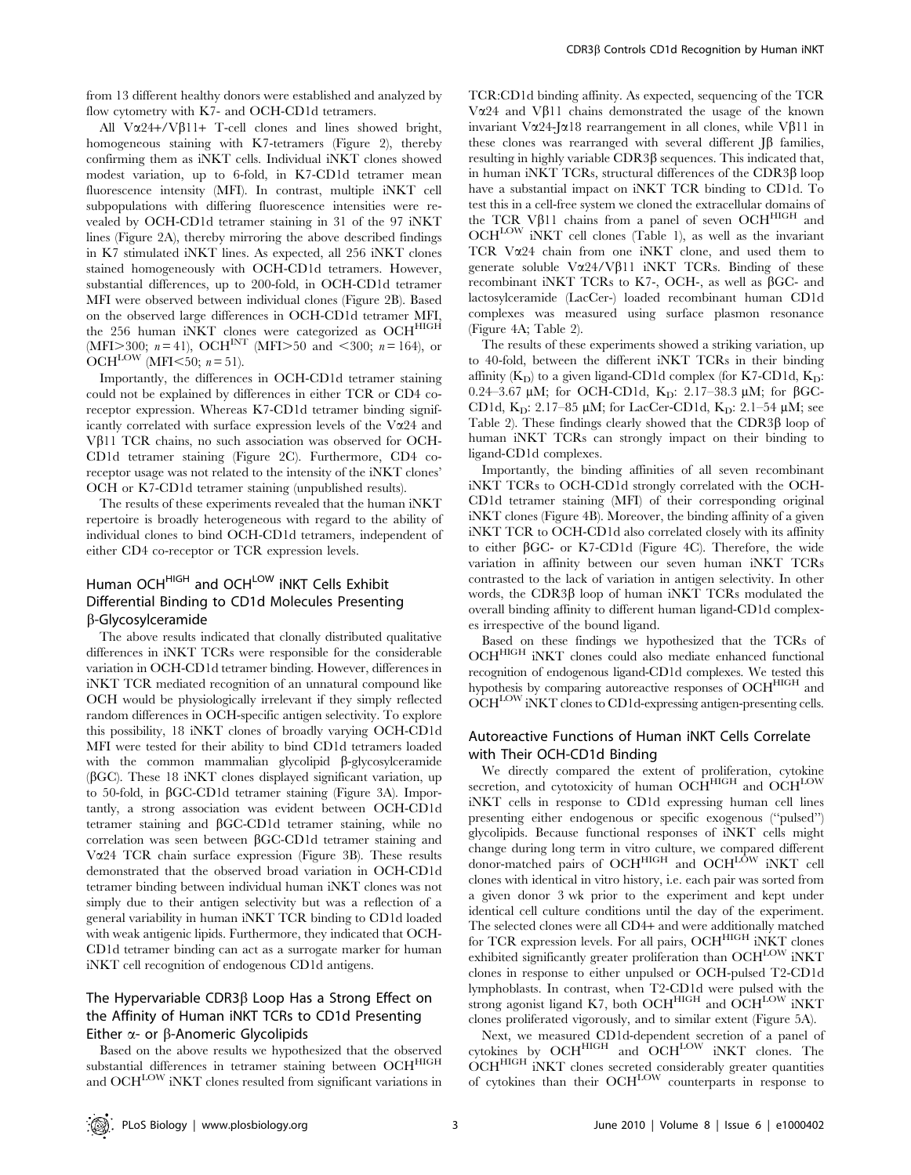from 13 different healthy donors were established and analyzed by flow cytometry with K7- and OCH-CD1d tetramers.

All  $V\alpha$ 24+/V $\beta$ 11+ T-cell clones and lines showed bright, homogeneous staining with K7-tetramers (Figure 2), thereby confirming them as iNKT cells. Individual iNKT clones showed modest variation, up to 6-fold, in K7-CD1d tetramer mean fluorescence intensity (MFI). In contrast, multiple iNKT cell subpopulations with differing fluorescence intensities were revealed by OCH-CD1d tetramer staining in 31 of the 97 iNKT lines (Figure 2A), thereby mirroring the above described findings in K7 stimulated iNKT lines. As expected, all 256 iNKT clones stained homogeneously with OCH-CD1d tetramers. However, substantial differences, up to 200-fold, in OCH-CD1d tetramer MFI were observed between individual clones (Figure 2B). Based on the observed large differences in OCH-CD1d tetramer MFI, the 256 human iNKT clones were categorized as OCH<sup>HIGH</sup> (MFI $>$ 300; n = 41), OCH<sup>INT</sup> (MFI $>$ 50 and <300; n = 164), or OCH<sup>LOW</sup> (MFI $< 50$ ; n = 51).

Importantly, the differences in OCH-CD1d tetramer staining could not be explained by differences in either TCR or CD4 coreceptor expression. Whereas K7-CD1d tetramer binding significantly correlated with surface expression levels of the  $V\alpha24$  and V $\beta$ 11 TCR chains, no such association was observed for OCH-CD1d tetramer staining (Figure 2C). Furthermore, CD4 coreceptor usage was not related to the intensity of the iNKT clones' OCH or K7-CD1d tetramer staining (unpublished results).

The results of these experiments revealed that the human iNKT repertoire is broadly heterogeneous with regard to the ability of individual clones to bind OCH-CD1d tetramers, independent of either CD4 co-receptor or TCR expression levels.

# Human OCH<sup>HIGH</sup> and OCH<sup>LOW</sup> INKT Cells Exhibit Differential Binding to CD1d Molecules Presenting b-Glycosylceramide

The above results indicated that clonally distributed qualitative differences in iNKT TCRs were responsible for the considerable variation in OCH-CD1d tetramer binding. However, differences in iNKT TCR mediated recognition of an unnatural compound like OCH would be physiologically irrelevant if they simply reflected random differences in OCH-specific antigen selectivity. To explore this possibility, 18 iNKT clones of broadly varying OCH-CD1d MFI were tested for their ability to bind CD1d tetramers loaded with the common mammalian glycolipid  $\beta$ -glycosylceramide  $(\beta GC)$ . These 18 iNKT clones displayed significant variation, up to 50-fold, in  $\beta$ GC-CD1d tetramer staining (Figure 3A). Importantly, a strong association was evident between OCH-CD1d tetramer staining and bGC-CD1d tetramer staining, while no correlation was seen between  $\beta$ GC-CD1d tetramer staining and Va24 TCR chain surface expression (Figure 3B). These results demonstrated that the observed broad variation in OCH-CD1d tetramer binding between individual human iNKT clones was not simply due to their antigen selectivity but was a reflection of a general variability in human iNKT TCR binding to CD1d loaded with weak antigenic lipids. Furthermore, they indicated that OCH-CD1d tetramer binding can act as a surrogate marker for human iNKT cell recognition of endogenous CD1d antigens.

# The Hypervariable CDR3 $\beta$  Loop Has a Strong Effect on the Affinity of Human iNKT TCRs to CD1d Presenting Either  $\alpha$ - or  $\beta$ -Anomeric Glycolipids

Based on the above results we hypothesized that the observed substantial differences in tetramer staining between OCH<sup>HIGH</sup> and OCH<sup>LOW</sup> iNKT clones resulted from significant variations in TCR:CD1d binding affinity. As expected, sequencing of the TCR V $\alpha$ 24 and V $\beta$ 11 chains demonstrated the usage of the known invariant V $\alpha$ 24-J $\alpha$ 18 rearrangement in all clones, while V $\beta$ 11 in these clones was rearranged with several different  $J\beta$  families, resulting in highly variable  $CDR3\beta$  sequences. This indicated that, in human iNKT TCRs, structural differences of the  $CDR3\beta$  loop have a substantial impact on iNKT TCR binding to CD1d. To test this in a cell-free system we cloned the extracellular domains of the TCR V $\beta$ 11 chains from a panel of seven OCH $^{HIGH}$  and OCHLOW iNKT cell clones (Table 1), as well as the invariant TCR Va24 chain from one iNKT clone, and used them to generate soluble  $V\alpha$ 24/V $\beta$ 11 iNKT TCRs. Binding of these recombinant iNKT TCRs to K7-, OCH-, as well as  $\beta$ GC- and lactosylceramide (LacCer-) loaded recombinant human CD1d complexes was measured using surface plasmon resonance (Figure 4A; Table 2).

The results of these experiments showed a striking variation, up to 40-fold, between the different iNKT TCRs in their binding affinity  $(K_D)$  to a given ligand-CD1d complex (for K7-CD1d,  $K_D$ : 0.24–3.67  $\mu$ M; for OCH-CD1d, K<sub>D</sub>: 2.17–38.3  $\mu$ M; for  $\beta$ GC-CD1d,  $K_D$ : 2.17–85 µM; for LacCer-CD1d,  $K_D$ : 2.1–54 µM; see Table 2). These findings clearly showed that the CDR3 $\beta$  loop of human iNKT TCRs can strongly impact on their binding to ligand-CD1d complexes.

Importantly, the binding affinities of all seven recombinant iNKT TCRs to OCH-CD1d strongly correlated with the OCH-CD1d tetramer staining (MFI) of their corresponding original iNKT clones (Figure 4B). Moreover, the binding affinity of a given iNKT TCR to OCH-CD1d also correlated closely with its affinity to either  $\beta$ GC- or K7-CD1d (Figure 4C). Therefore, the wide variation in affinity between our seven human iNKT TCRs contrasted to the lack of variation in antigen selectivity. In other words, the CDR3 $\beta$  loop of human iNKT TCRs modulated the overall binding affinity to different human ligand-CD1d complexes irrespective of the bound ligand.

Based on these findings we hypothesized that the TCRs of OCHHIGH iNKT clones could also mediate enhanced functional recognition of endogenous ligand-CD1d complexes. We tested this hypothesis by comparing autoreactive responses of OCHHIGH and OCHLOW INKT clones to CD1d-expressing antigen-presenting cells.

# Autoreactive Functions of Human iNKT Cells Correlate with Their OCH-CD1d Binding

We directly compared the extent of proliferation, cytokine secretion, and cytotoxicity of human OCHHIGH and OCHLOW iNKT cells in response to CD1d expressing human cell lines presenting either endogenous or specific exogenous (''pulsed'') glycolipids. Because functional responses of iNKT cells might change during long term in vitro culture, we compared different donor-matched pairs of OCHHIGH and OCHLOW iNKT cell clones with identical in vitro history, i.e. each pair was sorted from a given donor 3 wk prior to the experiment and kept under identical cell culture conditions until the day of the experiment. The selected clones were all CD4+ and were additionally matched for TCR expression levels. For all pairs, OCH<sup>HIGH</sup> iNKT clones exhibited significantly greater proliferation than  $OCH^{LOW}$  iNKT clones in response to either unpulsed or OCH-pulsed T2-CD1d lymphoblasts. In contrast, when T2-CD1d were pulsed with the strong agonist ligand K7, both OCH $^{HIGH}$  and OCH $^{LOW}$  iNKT clones proliferated vigorously, and to similar extent (Figure 5A).

Next, we measured CD1d-dependent secretion of a panel of cytokines by OCHHIGH and OCHLOW iNKT clones. The OCH<sup>HIGH</sup> iNKT clones secreted considerably greater quantities of cytokines than their OCH<sup>LOW</sup> counterparts in response to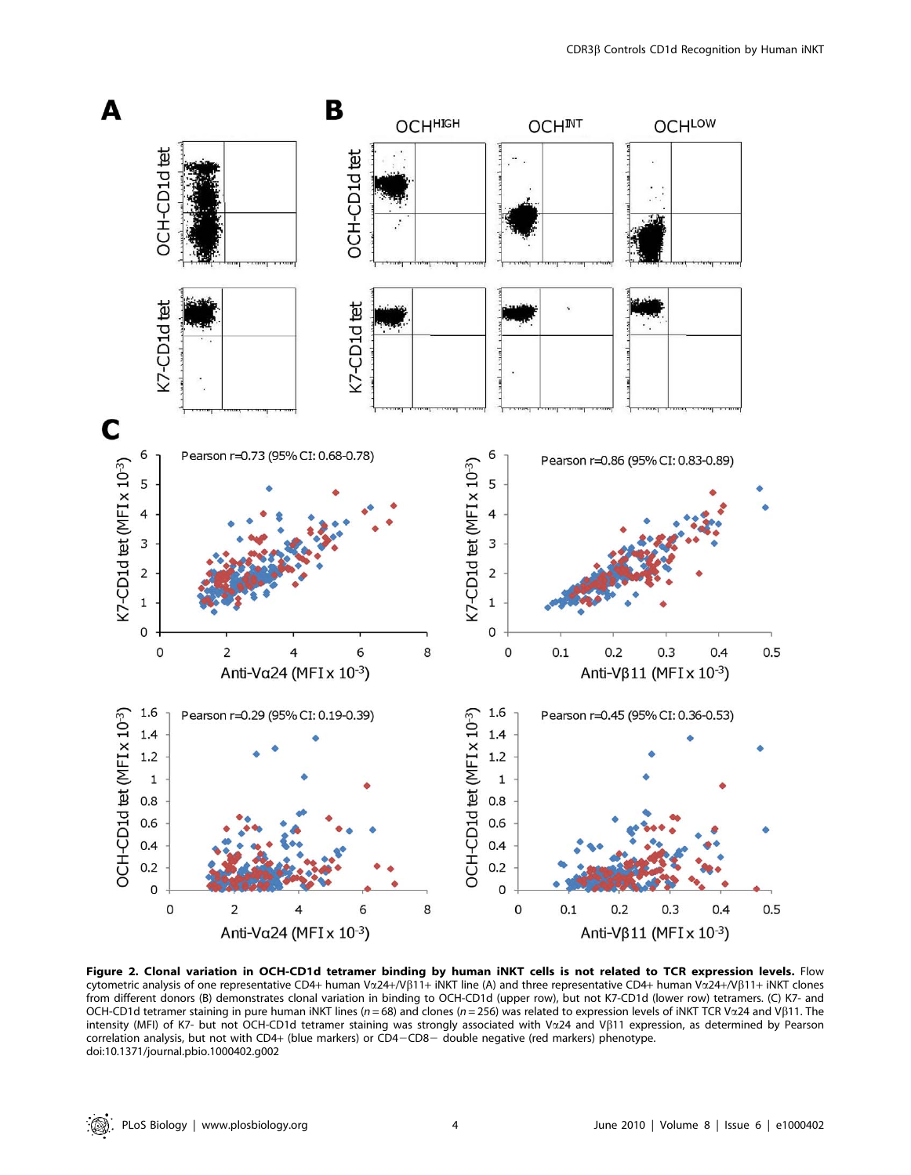

Figure 2. Clonal variation in OCH-CD1d tetramer binding by human iNKT cells is not related to TCR expression levels. Flow cytometric analysis of one representative CD4+ human V $\alpha$ 24+/V $\beta$ 11+ iNKT line (A) and three representative CD4+ human V $\alpha$ 24+/ $\gamma$  $\beta$ 11+ iNKT clones from different donors (B) demonstrates clonal variation in binding to OCH-CD1d (upper row), but not K7-CD1d (lower row) tetramers. (C) K7- and OCH-CD1d tetramer staining in pure human iNKT lines (n = 68) and clones (n = 256) was related to expression levels of iNKT TCR Va24 and V $\beta$ 11. The intensity (MFI) of K7- but not OCH-CD1d tetramer staining was strongly associated with Va24 and Vß11 expression, as determined by Pearson correlation analysis, but not with CD4+ (blue markers) or CD4-CD8- double negative (red markers) phenotype. doi:10.1371/journal.pbio.1000402.g002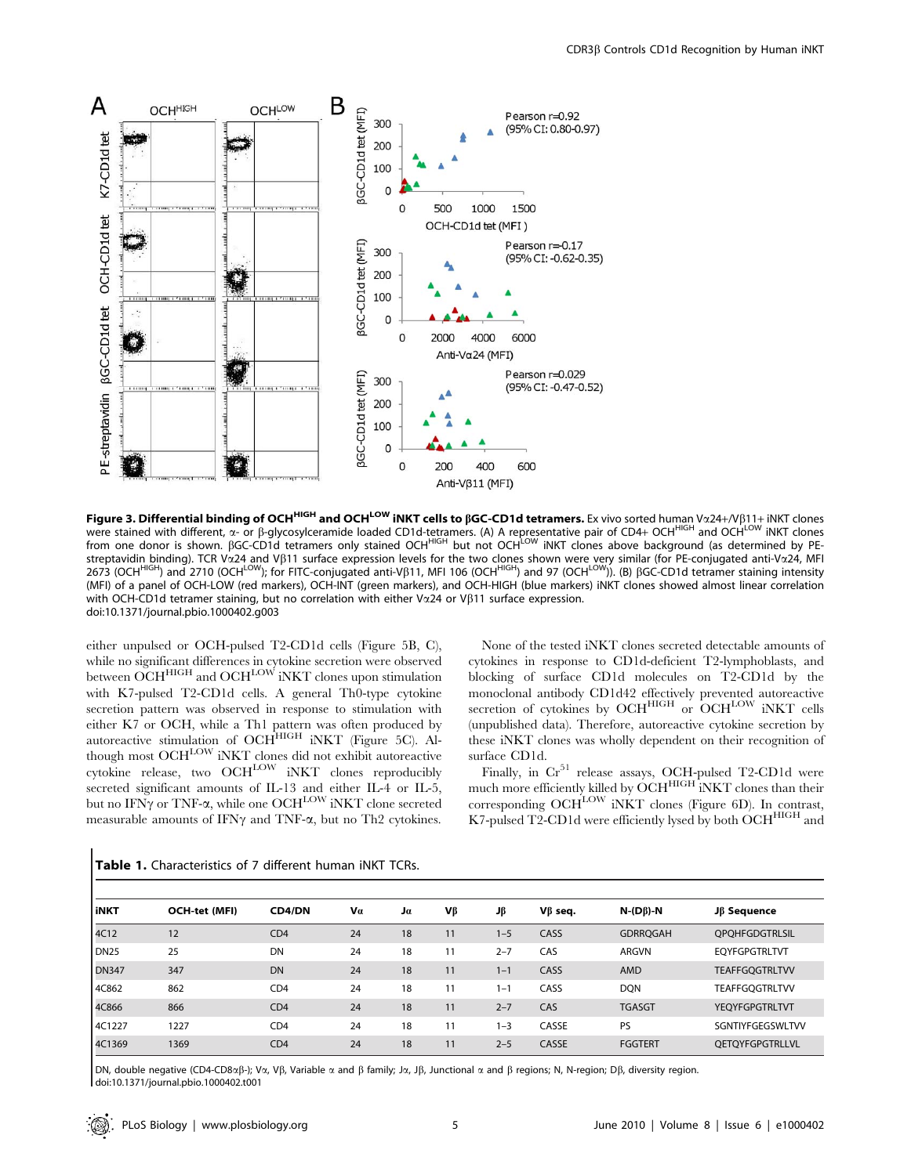

Figure 3. Differential binding of OCH<sup>HIGH</sup> and OCH<sup>LOW</sup> iNKT cells to BGC-CD1d tetramers. Ex vivo sorted human Vx24+/VB11+ iNKT clones were stained with different, α- or β-glycosylceramide loaded CD1d-tetramers. (A) A representative pair of CD4+ OCH<sup>LIGH</sup> and OCH<sup>LOW</sup> iNKT clones from one donor is shown. BGC-CD1d tetramers only stained OCHHIGH but not OCHLOW INKT clones above background (as determined by PEstreptavidin binding). TCR Va24 and Vß11 surface expression levels for the two clones shown were very similar (for PE-conjugated anti-Va24, MFI 2673 (OCH<sup>HIGH</sup>) and 2710 (OCH<sup>LOW</sup>); for FITC-conjugated anti-VB11, MFI 106 (OCH<sup>HIGH</sup>) and 97 (OCH<sup>LOW</sup>)). (B) BGC-CD1d tetramer staining intensity (MFI) of a panel of OCH-LOW (red markers), OCH-INT (green markers), and OCH-HIGH (blue markers) iNKT clones showed almost linear correlation with OCH-CD1d tetramer staining, but no correlation with either V $\alpha$ 24 or V $\beta$ 11 surface expression. doi:10.1371/journal.pbio.1000402.g003

either unpulsed or OCH-pulsed T2-CD1d cells (Figure 5B, C), while no significant differences in cytokine secretion were observed between OCH<sup>HIGH</sup> and OCH<sup>LOW</sup> iNKT clones upon stimulation with K7-pulsed T2-CD1d cells. A general Th0-type cytokine secretion pattern was observed in response to stimulation with either K7 or OCH, while a Th1 pattern was often produced by autoreactive stimulation of OCHHIGH iNKT (Figure 5C). Although most OCH<sup>LOW</sup> iNKT clones did not exhibit autoreactive cytokine release, two OCH<sup>LOW</sup> iNKT clones reproducibly secreted significant amounts of IL-13 and either IL-4 or IL-5, but no IFN $\gamma$  or TNF- $\alpha$ , while one OCH<sup>LOW</sup> iNKT clone secreted measurable amounts of IFN $\gamma$  and TNF- $\alpha$ , but no Th2 cytokines.

None of the tested iNKT clones secreted detectable amounts of cytokines in response to CD1d-deficient T2-lymphoblasts, and blocking of surface CD1d molecules on T2-CD1d by the monoclonal antibody CD1d42 effectively prevented autoreactive secretion of cytokines by OCHHIGH or OCHLOW INKT cells (unpublished data). Therefore, autoreactive cytokine secretion by these iNKT clones was wholly dependent on their recognition of surface CD1d.

Finally, in  $Cr<sup>51</sup>$  release assays, OCH-pulsed T2-CD1d were much more efficiently killed by OCH<sup>HIGH</sup> iNKT clones than their corresponding  $OCH<sup>LOW</sup>$  iNKT clones (Figure 6D). In contrast, K7-pulsed T2-CD1d were efficiently lysed by both OCHHIGH and

| l iNKT           | OCH-tet (MFI) | <b>CD4/DN</b> | Va | Jα | Vβ | Jβ      | $V\beta$ seq. | $N-(D\beta)-N$  | Jß Sequence            |
|------------------|---------------|---------------|----|----|----|---------|---------------|-----------------|------------------------|
| 4C12             | 12            | CD4           | 24 | 18 | 11 | $1 - 5$ | CASS          | <b>GDRROGAH</b> | <b>QPQHFGDGTRLSIL</b>  |
| DN <sub>25</sub> | 25            | DN            | 24 | 18 | 11 | $2 - 7$ | CAS           | <b>ARGVN</b>    | <b>EOYFGPGTRLTVT</b>   |
| <b>DN347</b>     | 347           | <b>DN</b>     | 24 | 18 | 11 | $1 - 1$ | CASS          | AMD             | <b>TEAFFGQGTRLTVV</b>  |
| 4C862            | 862           | CD4           | 24 | 18 | 11 | $1 - 1$ | CASS          | <b>DQN</b>      | <b>TEAFFGOGTRLTVV</b>  |
| 4C866            | 866           | CD4           | 24 | 18 | 11 | $2 - 7$ | CAS           | <b>TGASGT</b>   | <b>YEOYFGPGTRLTVT</b>  |
| 4C1227           | 1227          | CD4           | 24 | 18 | 11 | $1 - 3$ | CASSE         | PS              | SGNTIYFGEGSWLTVV       |
| 4C1369           | 1369          | CD4           | 24 | 18 | 11 | $2 - 5$ | CASSE         | <b>FGGTERT</b>  | <b>OETOYFGPGTRLLVL</b> |

Table 1. Characteristics of 7 different human iNKT TCRs.

DN, double negative (CD4-CD8x $\beta$ -); V $\alpha$ , V $\beta$ , Variable  $\alpha$  and  $\beta$  family; J $\alpha$ , J $\beta$ , Junctional  $\alpha$  and  $\beta$  regions; N, N-region; D $\beta$ , diversity region. doi:10.1371/journal.pbio.1000402.t001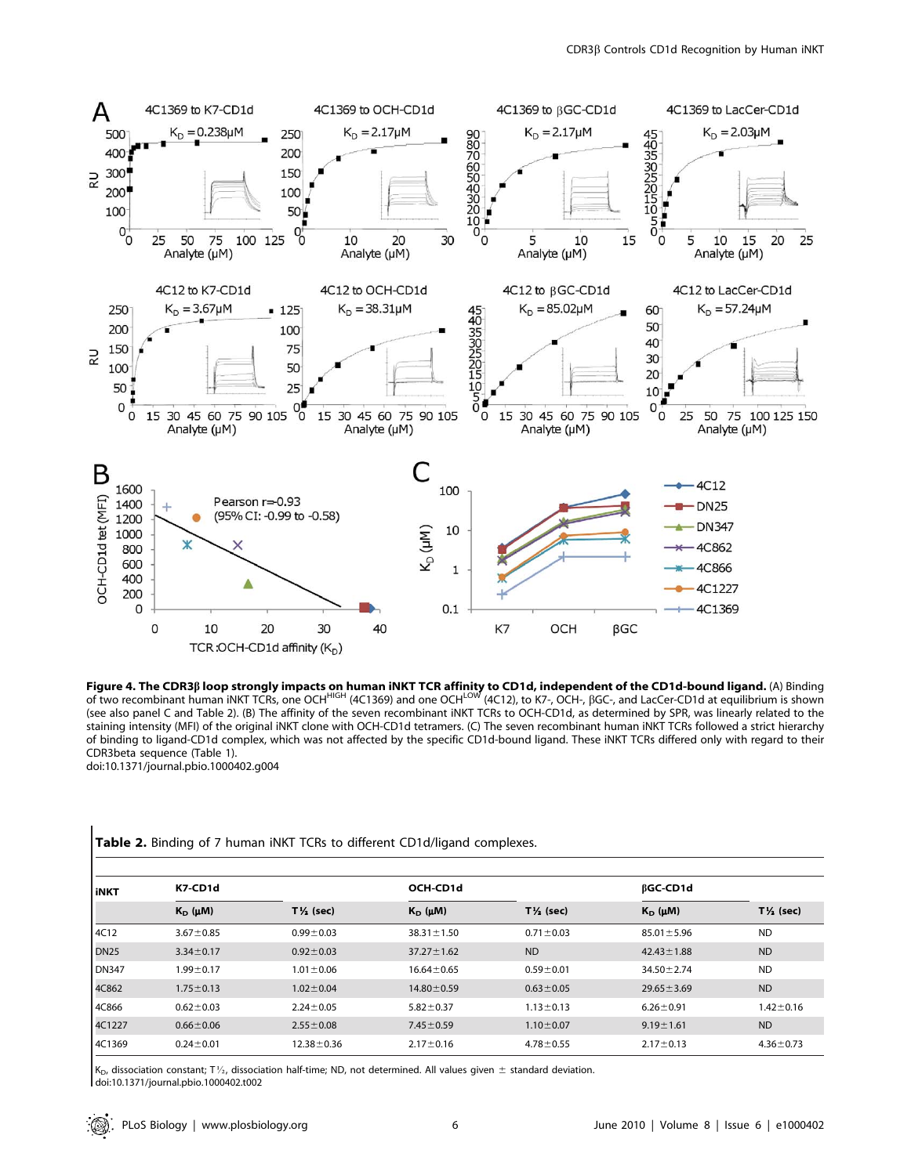

**Figure 4. The CDR3ß loop strongly impacts on human iNKT TCR affinity to CD1d, independent of the CD1d-bound ligand.** (A) Binding<br>of two recombinant human iNKT TCRs, one OCH<sup>HIGH</sup> (4C1369) and one OCH<sup>LOW</sup> (4C12), to K7-, (see also panel C and Table 2). (B) The affinity of the seven recombinant iNKT TCRs to OCH-CD1d, as determined by SPR, was linearly related to the staining intensity (MFI) of the original iNKT clone with OCH-CD1d tetramers. (C) The seven recombinant human iNKT TCRs followed a strict hierarchy of binding to ligand-CD1d complex, which was not affected by the specific CD1d-bound ligand. These iNKT TCRs differed only with regard to their CDR3beta sequence (Table 1). doi:10.1371/journal.pbio.1000402.g004

| <b>l</b> iNKT    | K7-CD1d          |                      | OCH-CD1d         |                      | <b>BGC-CD1d</b>  |                      |
|------------------|------------------|----------------------|------------------|----------------------|------------------|----------------------|
|                  | $K_D$ ( $\mu$ M) | $T\frac{1}{2}$ (sec) | $K_D$ ( $\mu$ M) | $T\frac{1}{2}$ (sec) | $K_D$ ( $\mu$ M) | $T\frac{1}{2}$ (sec) |
| 4C12             | $3.67 \pm 0.85$  | $0.99 \pm 0.03$      | $38.31 \pm 1.50$ | $0.71 \pm 0.03$      | $85.01 \pm 5.96$ | <b>ND</b>            |
| DN <sub>25</sub> | $3.34 \pm 0.17$  | $0.92 \pm 0.03$      | $37.27 \pm 1.62$ | <b>ND</b>            | $42.43 \pm 1.88$ | <b>ND</b>            |
| <b>DN347</b>     | $1.99 + 0.17$    | $1.01 \pm 0.06$      | $16.64 \pm 0.65$ | $0.59 + 0.01$        | $34.50 \pm 2.74$ | <b>ND</b>            |
| 4C862            | $1.75 \pm 0.13$  | $1.02 \pm 0.04$      | $14.80 \pm 0.59$ | $0.63 \pm 0.05$      | $29.65 \pm 3.69$ | <b>ND</b>            |
| 4C866            | $0.62 \pm 0.03$  | $2.24 \pm 0.05$      | $5.82 \pm 0.37$  | $1.13 \pm 0.13$      | $6.26 \pm 0.91$  | $1.42 \pm 0.16$      |
| 4C1227           | $0.66 \pm 0.06$  | $2.55 \pm 0.08$      | $7.45 \pm 0.59$  | $1.10 \pm 0.07$      | $9.19 \pm 1.61$  | <b>ND</b>            |
| 4C1369           | $0.24 \pm 0.01$  | $12.38 \pm 0.36$     | $2.17 \pm 0.16$  | $4.78 \pm 0.55$      | $2.17 \pm 0.13$  | $4.36 \pm 0.73$      |

Table 2. Binding of 7 human iNKT TCRs to different CD1d/ligand complexes.

 $K_D$ , dissociation constant; T1/<sub>2</sub>, dissociation half-time; ND, not determined. All values given  $\pm$  standard deviation. doi:10.1371/journal.pbio.1000402.t002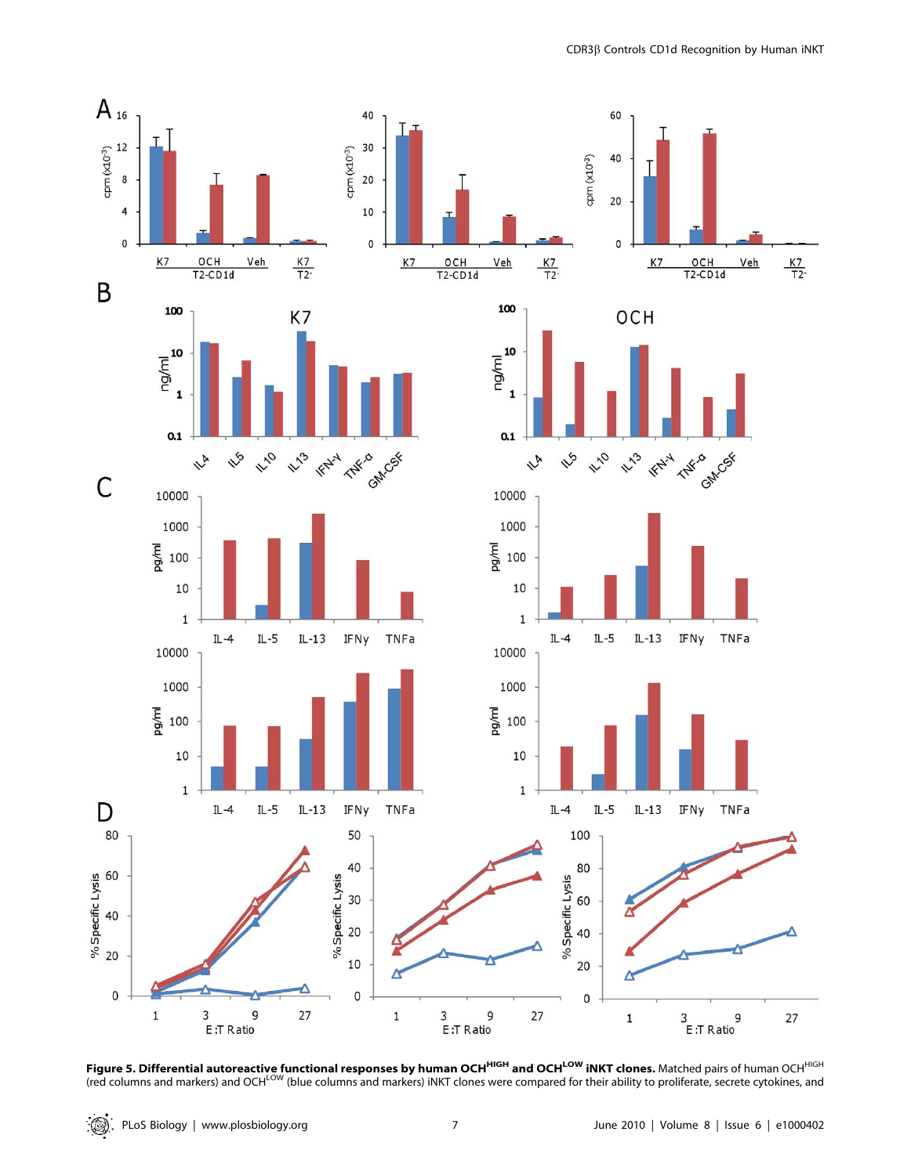

Figure 5. Differential autoreactive functional responses by human OCH<sup>HIGH</sup> and OCH<sup>LOW</sup> INKT clones. Matched pairs of human OCH<sup>HIGH</sup> (red columns and markers) and OCH<sup>LOW</sup> (blue columns and markers) iNKT clones were compared for their ability to proliferate, secrete cytokines, and

 $\mathbb{Q}$  . PLoS Biology | www.plosbiology.org 7 7 7 June 2010 | Volume 8 | Issue 6 | e1000402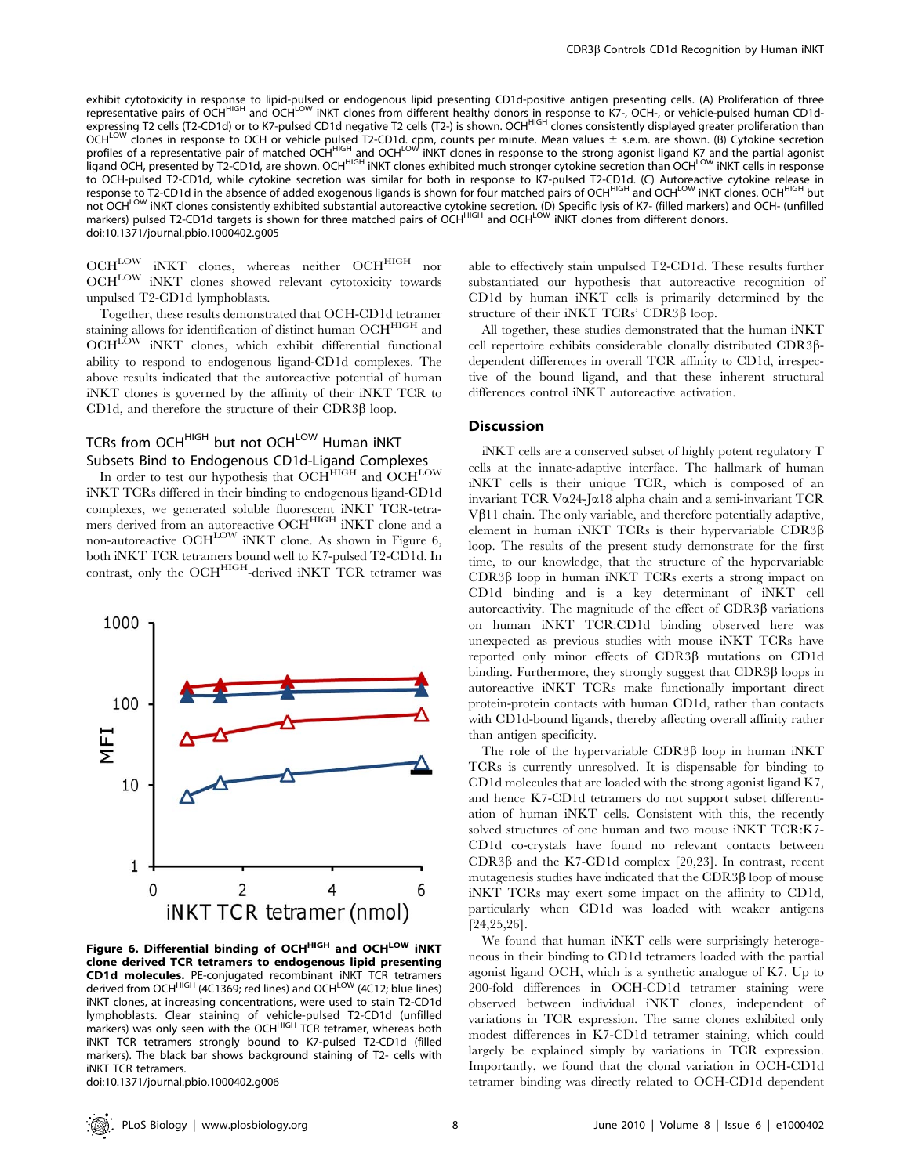exhibit cytotoxicity in response to lipid-pulsed or endogenous lipid presenting CD1d-positive antigen presenting cells. (A) Proliferation of three representative pairs of OCH<sup>HIGH</sup> and OCH<sup>LOW</sup> iNKT clones from different healthy donors in response to K7-, OCH-, or vehicle-pulsed human CD1dexpressing T2 cells (T2-CD1d) or to K7-pulsed CD1d negative T2 cells (T2-) is shown. OCH<sup>HIGH</sup> clones consistently displayed greater proliferation than  $CCH^{LOW}$  clones in response to OCH or vehicle pulsed T2-CD1d. cpm, counts per minute. Mean values  $\pm$  s.e.m. are shown. (B) Cytokine secretion profiles of a representative pair of matched OCH<sup>HIGH</sup> and OCH<sup>LOW</sup> INKT clones in response to the strong agonist ligand K7 and the partial agonist ligand OCH, presented by T2-CD1d, are shown. OCH<sup>HIGH</sup> iNKT clones exhibited much stronger cytokine secretion than OCH<sup>LOW</sup> iNKT cells in response to OCH-pulsed T2-CD1d, while cytokine secretion was similar for both in response to K7-pulsed T2-CD1d. (C) Autoreactive cytokine release in response to T2-CD1d in the absence of added exogenous ligands is shown for four matched pairs of OCH<sup>HIGH</sup> and OCH<sup>LOW</sup> iNKT clones. OCH<sup>HIGH</sup> but not OCH<sup>LOW</sup> iNKT clones consistently exhibited substantial autoreactive cytokine secretion. (D) Specific lysis of K7- (filled markers) and OCH- (unfilled markers) pulsed T2-CD1d targets is shown for three matched pairs of OCH<sup>HIGH</sup> and OCH<sup>LOW</sup> INKT clones from different donors. doi:10.1371/journal.pbio.1000402.g005

OCH<sup>LOW</sup> iNKT clones, whereas neither OCH<sup>HIGH</sup> nor OCHLOW iNKT clones showed relevant cytotoxicity towards unpulsed T2-CD1d lymphoblasts.

Together, these results demonstrated that OCH-CD1d tetramer staining allows for identification of distinct human OCH<sup>HIGH</sup> and OCH<sup>LOW</sup> iNKT clones, which exhibit differential functional ability to respond to endogenous ligand-CD1d complexes. The above results indicated that the autoreactive potential of human iNKT clones is governed by the affinity of their iNKT TCR to CD1d, and therefore the structure of their CDR3 $\beta$  loop.

# TCRs from OCH<sup>HIGH</sup> but not OCH<sup>LOW</sup> Human INKT Subsets Bind to Endogenous CD1d-Ligand Complexes

In order to test our hypothesis that  $OCH^{HIGH}$  and  $OCH^{LOW}$ iNKT TCRs differed in their binding to endogenous ligand-CD1d complexes, we generated soluble fluorescent iNKT TCR-tetramers derived from an autoreactive OCH<sup>HIGH</sup> iNKT clone and a non-autoreactive OCH<sup>LOW</sup> iNKT clone. As shown in Figure 6, both iNKT TCR tetramers bound well to K7-pulsed T2-CD1d. In contrast, only the OCH<sup>HIGH</sup>-derived iNKT TCR tetramer was



Figure 6. Differential binding of OCH<sup>HIGH</sup> and OCH<sup>LOW</sup> INKT clone derived TCR tetramers to endogenous lipid presenting CD1d molecules. PE-conjugated recombinant iNKT TCR tetramers derived from OCH<sup>HIGH</sup> (4C1369; red lines) and OCH<sup>LOW</sup> (4C12; blue lines) iNKT clones, at increasing concentrations, were used to stain T2-CD1d lymphoblasts. Clear staining of vehicle-pulsed T2-CD1d (unfilled<br>markers) was only seen with the OCH<sup>HIGH</sup> TCR tetramer, whereas both iNKT TCR tetramers strongly bound to K7-pulsed T2-CD1d (filled markers). The black bar shows background staining of T2- cells with iNKT TCR tetramers.

doi:10.1371/journal.pbio.1000402.g006

able to effectively stain unpulsed T2-CD1d. These results further substantiated our hypothesis that autoreactive recognition of CD1d by human iNKT cells is primarily determined by the structure of their iNKT TCRs' CDR3ß loop.

All together, these studies demonstrated that the human iNKT cell repertoire exhibits considerable clonally distributed CDR3bdependent differences in overall TCR affinity to CD1d, irrespective of the bound ligand, and that these inherent structural differences control iNKT autoreactive activation.

## **Discussion**

iNKT cells are a conserved subset of highly potent regulatory T cells at the innate-adaptive interface. The hallmark of human iNKT cells is their unique TCR, which is composed of an invariant TCR Va24-Ja18 alpha chain and a semi-invariant TCR  $V\beta$ 11 chain. The only variable, and therefore potentially adaptive, element in human iNKT TCRs is their hypervariable  $CDR3\beta$ loop. The results of the present study demonstrate for the first time, to our knowledge, that the structure of the hypervariable  $CDR3\beta$  loop in human iNKT TCRs exerts a strong impact on CD1d binding and is a key determinant of iNKT cell autoreactivity. The magnitude of the effect of CDR3b variations on human iNKT TCR:CD1d binding observed here was unexpected as previous studies with mouse iNKT TCRs have reported only minor effects of CDR3b mutations on CD1d binding. Furthermore, they strongly suggest that  $CDR3\beta$  loops in autoreactive iNKT TCRs make functionally important direct protein-protein contacts with human CD1d, rather than contacts with CD1d-bound ligands, thereby affecting overall affinity rather than antigen specificity.

The role of the hypervariable  $CDR3\beta$  loop in human iNKT TCRs is currently unresolved. It is dispensable for binding to CD1d molecules that are loaded with the strong agonist ligand K7, and hence K7-CD1d tetramers do not support subset differentiation of human iNKT cells. Consistent with this, the recently solved structures of one human and two mouse iNKT TCR:K7- CD1d co-crystals have found no relevant contacts between CDR3 $\beta$  and the K7-CD1d complex [20,23]. In contrast, recent mutagenesis studies have indicated that the CDR3 $\beta$  loop of mouse iNKT TCRs may exert some impact on the affinity to CD1d, particularly when CD1d was loaded with weaker antigens [24,25,26].

We found that human iNKT cells were surprisingly heterogeneous in their binding to CD1d tetramers loaded with the partial agonist ligand OCH, which is a synthetic analogue of K7. Up to 200-fold differences in OCH-CD1d tetramer staining were observed between individual iNKT clones, independent of variations in TCR expression. The same clones exhibited only modest differences in K7-CD1d tetramer staining, which could largely be explained simply by variations in TCR expression. Importantly, we found that the clonal variation in OCH-CD1d tetramer binding was directly related to OCH-CD1d dependent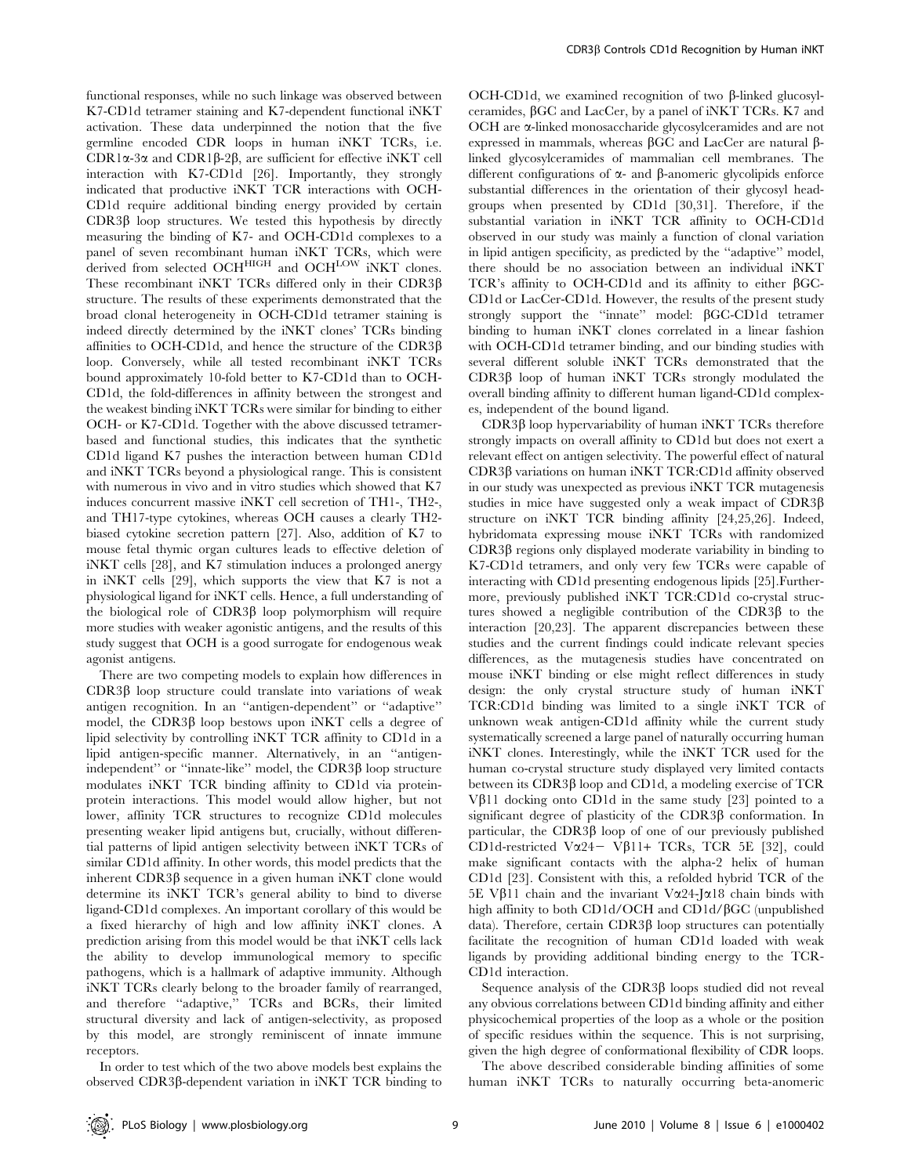functional responses, while no such linkage was observed between K7-CD1d tetramer staining and K7-dependent functional iNKT activation. These data underpinned the notion that the five germline encoded CDR loops in human iNKT TCRs, i.e. CDR1 $\alpha$ -3 $\alpha$  and CDR1 $\beta$ -2 $\beta$ , are sufficient for effective iNKT cell interaction with K7-CD1d [26]. Importantly, they strongly indicated that productive iNKT TCR interactions with OCH-CD1d require additional binding energy provided by certain  $CDR3\beta$  loop structures. We tested this hypothesis by directly measuring the binding of K7- and OCH-CD1d complexes to a panel of seven recombinant human iNKT TCRs, which were derived from selected OCH<sup>HIGH</sup> and OCH<sup>LOW</sup> iNKT clones. These recombinant iNKT TCRs differed only in their CDR3 $\beta$ structure. The results of these experiments demonstrated that the broad clonal heterogeneity in OCH-CD1d tetramer staining is indeed directly determined by the iNKT clones' TCRs binding affinities to OCH-CD1d, and hence the structure of the CDR3 $\beta$ loop. Conversely, while all tested recombinant iNKT TCRs bound approximately 10-fold better to K7-CD1d than to OCH-CD1d, the fold-differences in affinity between the strongest and the weakest binding iNKT TCRs were similar for binding to either OCH- or K7-CD1d. Together with the above discussed tetramerbased and functional studies, this indicates that the synthetic CD1d ligand K7 pushes the interaction between human CD1d and iNKT TCRs beyond a physiological range. This is consistent with numerous in vivo and in vitro studies which showed that K7 induces concurrent massive iNKT cell secretion of TH1-, TH2-, and TH17-type cytokines, whereas OCH causes a clearly TH2 biased cytokine secretion pattern [27]. Also, addition of K7 to mouse fetal thymic organ cultures leads to effective deletion of iNKT cells [28], and K7 stimulation induces a prolonged anergy in iNKT cells [29], which supports the view that K7 is not a physiological ligand for iNKT cells. Hence, a full understanding of the biological role of  $CDR3\beta$  loop polymorphism will require more studies with weaker agonistic antigens, and the results of this study suggest that OCH is a good surrogate for endogenous weak agonist antigens.

There are two competing models to explain how differences in  $CDR3\beta$  loop structure could translate into variations of weak antigen recognition. In an ''antigen-dependent'' or ''adaptive'' model, the CDR3 $\beta$  loop bestows upon iNKT cells a degree of lipid selectivity by controlling iNKT TCR affinity to CD1d in a lipid antigen-specific manner. Alternatively, in an ''antigenindependent" or "innate-like" model, the CDR3 $\beta$  loop structure modulates iNKT TCR binding affinity to CD1d via proteinprotein interactions. This model would allow higher, but not lower, affinity TCR structures to recognize CD1d molecules presenting weaker lipid antigens but, crucially, without differential patterns of lipid antigen selectivity between iNKT TCRs of similar CD1d affinity. In other words, this model predicts that the inherent  $CDR3\beta$  sequence in a given human iNKT clone would determine its iNKT TCR's general ability to bind to diverse ligand-CD1d complexes. An important corollary of this would be a fixed hierarchy of high and low affinity iNKT clones. A prediction arising from this model would be that iNKT cells lack the ability to develop immunological memory to specific pathogens, which is a hallmark of adaptive immunity. Although iNKT TCRs clearly belong to the broader family of rearranged, and therefore ''adaptive,'' TCRs and BCRs, their limited structural diversity and lack of antigen-selectivity, as proposed by this model, are strongly reminiscent of innate immune receptors.

In order to test which of the two above models best explains the observed CDR3b-dependent variation in iNKT TCR binding to OCH-CD1d, we examined recognition of two  $\beta$ -linked glucosylceramides,  $\beta$ GC and LacCer, by a panel of iNKT TCRs. K7 and OCH are α-linked monosaccharide glycosylceramides and are not expressed in mammals, whereas  $\beta$ GC and LacCer are natural  $\beta$ linked glycosylceramides of mammalian cell membranes. The different configurations of  $\alpha$ - and  $\beta$ -anomeric glycolipids enforce substantial differences in the orientation of their glycosyl headgroups when presented by CD1d [30,31]. Therefore, if the substantial variation in iNKT TCR affinity to OCH-CD1d observed in our study was mainly a function of clonal variation in lipid antigen specificity, as predicted by the ''adaptive'' model, there should be no association between an individual iNKT TCR's affinity to OCH-CD1d and its affinity to either  $\beta$ GC-CD1d or LacCer-CD1d. However, the results of the present study strongly support the "innate" model:  $\beta$ GC-CD1d tetramer binding to human iNKT clones correlated in a linear fashion with OCH-CD1d tetramer binding, and our binding studies with several different soluble iNKT TCRs demonstrated that the CDR3b loop of human iNKT TCRs strongly modulated the overall binding affinity to different human ligand-CD1d complexes, independent of the bound ligand.

 $CDR3\beta$  loop hypervariability of human iNKT TCRs therefore strongly impacts on overall affinity to CD1d but does not exert a relevant effect on antigen selectivity. The powerful effect of natural CDR3b variations on human iNKT TCR:CD1d affinity observed in our study was unexpected as previous iNKT TCR mutagenesis studies in mice have suggested only a weak impact of CDR3b structure on iNKT TCR binding affinity [24,25,26]. Indeed, hybridomata expressing mouse iNKT TCRs with randomized CDR3b regions only displayed moderate variability in binding to K7-CD1d tetramers, and only very few TCRs were capable of interacting with CD1d presenting endogenous lipids [25].Furthermore, previously published iNKT TCR:CD1d co-crystal structures showed a negligible contribution of the CDR3 $\beta$  to the interaction [20,23]. The apparent discrepancies between these studies and the current findings could indicate relevant species differences, as the mutagenesis studies have concentrated on mouse iNKT binding or else might reflect differences in study design: the only crystal structure study of human iNKT TCR:CD1d binding was limited to a single iNKT TCR of unknown weak antigen-CD1d affinity while the current study systematically screened a large panel of naturally occurring human iNKT clones. Interestingly, while the iNKT TCR used for the human co-crystal structure study displayed very limited contacts between its  $CDR3\beta$  loop and  $CD1d$ , a modeling exercise of TCR V $\beta$ 11 docking onto CD1d in the same study [23] pointed to a significant degree of plasticity of the CDR3 $\beta$  conformation. In particular, the CDR3 $\beta$  loop of one of our previously published CD1d-restricted V $\alpha$ 24 – V $\beta$ 11+ TCRs, TCR 5E [32], could make significant contacts with the alpha-2 helix of human CD1d [23]. Consistent with this, a refolded hybrid TCR of the 5E Vβ11 chain and the invariant Vα24-Jα18 chain binds with high affinity to both CD1d/OCH and CD1d/ $\beta$ GC (unpublished data). Therefore, certain  $CDR3\beta$  loop structures can potentially facilitate the recognition of human CD1d loaded with weak ligands by providing additional binding energy to the TCR-CD1d interaction.

Sequence analysis of the  $CDR3\beta$  loops studied did not reveal any obvious correlations between CD1d binding affinity and either physicochemical properties of the loop as a whole or the position of specific residues within the sequence. This is not surprising, given the high degree of conformational flexibility of CDR loops.

The above described considerable binding affinities of some human iNKT TCRs to naturally occurring beta-anomeric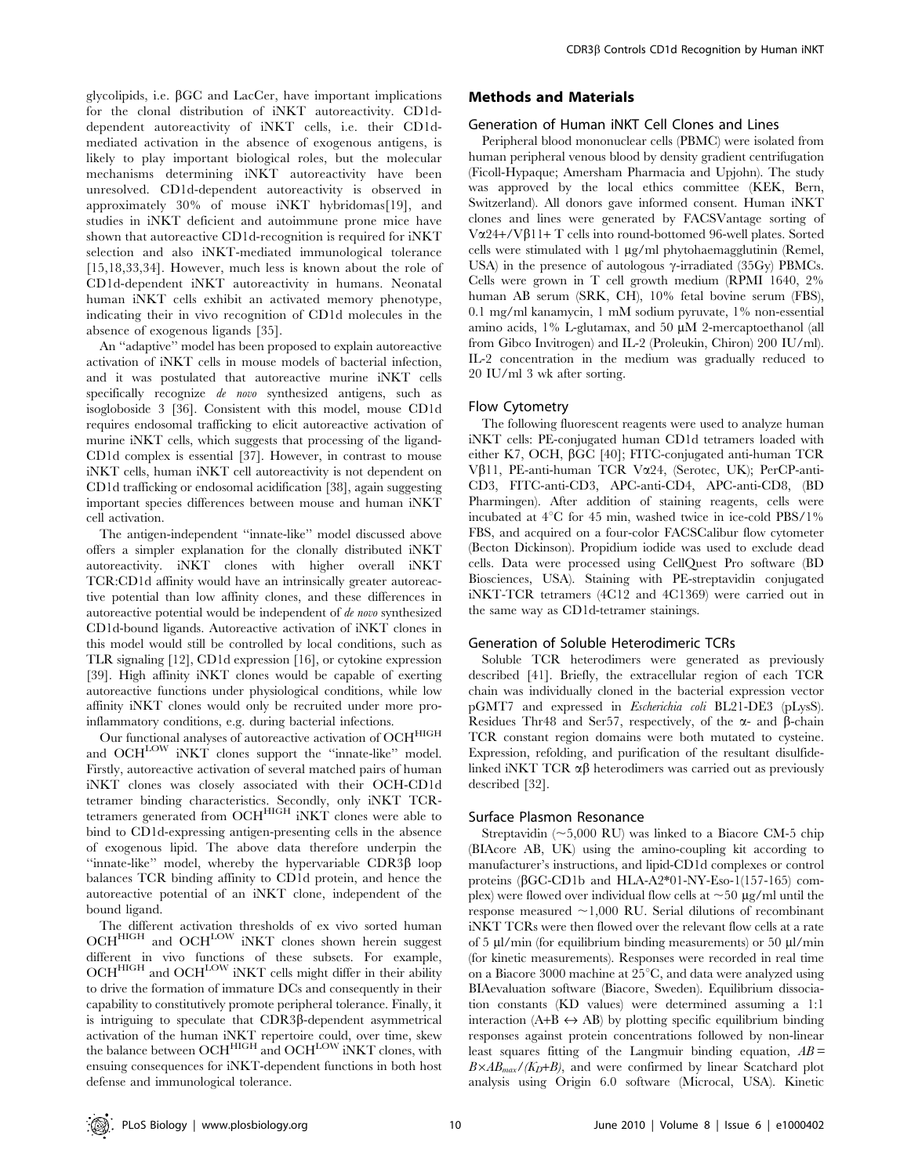glycolipids, i.e.  $\beta$ GC and LacCer, have important implications for the clonal distribution of iNKT autoreactivity. CD1ddependent autoreactivity of iNKT cells, i.e. their CD1dmediated activation in the absence of exogenous antigens, is likely to play important biological roles, but the molecular mechanisms determining iNKT autoreactivity have been unresolved. CD1d-dependent autoreactivity is observed in approximately 30% of mouse iNKT hybridomas[19], and studies in iNKT deficient and autoimmune prone mice have shown that autoreactive CD1d-recognition is required for iNKT selection and also iNKT-mediated immunological tolerance [15,18,33,34]. However, much less is known about the role of CD1d-dependent iNKT autoreactivity in humans. Neonatal human iNKT cells exhibit an activated memory phenotype, indicating their in vivo recognition of CD1d molecules in the absence of exogenous ligands [35].

An ''adaptive'' model has been proposed to explain autoreactive activation of iNKT cells in mouse models of bacterial infection, and it was postulated that autoreactive murine iNKT cells specifically recognize de novo synthesized antigens, such as isogloboside 3 [36]. Consistent with this model, mouse CD1d requires endosomal trafficking to elicit autoreactive activation of murine iNKT cells, which suggests that processing of the ligand-CD1d complex is essential [37]. However, in contrast to mouse iNKT cells, human iNKT cell autoreactivity is not dependent on CD1d trafficking or endosomal acidification [38], again suggesting important species differences between mouse and human iNKT cell activation.

The antigen-independent ''innate-like'' model discussed above offers a simpler explanation for the clonally distributed iNKT autoreactivity. iNKT clones with higher overall iNKT TCR:CD1d affinity would have an intrinsically greater autoreactive potential than low affinity clones, and these differences in autoreactive potential would be independent of de novo synthesized CD1d-bound ligands. Autoreactive activation of iNKT clones in this model would still be controlled by local conditions, such as TLR signaling [12], CD1d expression [16], or cytokine expression [39]. High affinity iNKT clones would be capable of exerting autoreactive functions under physiological conditions, while low affinity iNKT clones would only be recruited under more proinflammatory conditions, e.g. during bacterial infections.

Our functional analyses of autoreactive activation of OCHHIGH and OCHLOW iNKT clones support the "innate-like" model. Firstly, autoreactive activation of several matched pairs of human iNKT clones was closely associated with their OCH-CD1d tetramer binding characteristics. Secondly, only iNKT TCRtetramers generated from OCH<sup>HIGH</sup> iNKT clones were able to bind to CD1d-expressing antigen-presenting cells in the absence of exogenous lipid. The above data therefore underpin the "innate-like" model, whereby the hypervariable  $CDR3\beta$  loop balances TCR binding affinity to CD1d protein, and hence the autoreactive potential of an iNKT clone, independent of the bound ligand.

The different activation thresholds of ex vivo sorted human OCH<sup>HIGH</sup> and OCH<sup>LOW</sup> iNKT clones shown herein suggest different in vivo functions of these subsets. For example,  $\mathrm{OCH}^\mathrm{HIGH}$  and  $\mathrm{OCH}^\mathrm{LOW}$  iNKT cells might differ in their ability to drive the formation of immature DCs and consequently in their capability to constitutively promote peripheral tolerance. Finally, it is intriguing to speculate that CDR3b-dependent asymmetrical activation of the human iNKT repertoire could, over time, skew the balance between OCH<sup>HIGH</sup> and OCH<sup>LOW</sup> iNKT clones, with ensuing consequences for iNKT-dependent functions in both host defense and immunological tolerance.

## Methods and Materials

#### Generation of Human iNKT Cell Clones and Lines

Peripheral blood mononuclear cells (PBMC) were isolated from human peripheral venous blood by density gradient centrifugation (Ficoll-Hypaque; Amersham Pharmacia and Upjohn). The study was approved by the local ethics committee (KEK, Bern, Switzerland). All donors gave informed consent. Human iNKT clones and lines were generated by FACSVantage sorting of V $\alpha$ 24+/V $\beta$ 11+ T cells into round-bottomed 96-well plates. Sorted cells were stimulated with  $1 \mu g/ml$  phytohaemagglutinin (Remel, USA) in the presence of autologous  $\gamma$ -irradiated (35Gy) PBMCs. Cells were grown in T cell growth medium (RPMI 1640, 2% human AB serum (SRK, CH), 10% fetal bovine serum (FBS), 0.1 mg/ml kanamycin, 1 mM sodium pyruvate, 1% non-essential amino acids,  $1\%$  L-glutamax, and  $50 \mu M$  2-mercaptoethanol (all from Gibco Invitrogen) and IL-2 (Proleukin, Chiron) 200 IU/ml). IL-2 concentration in the medium was gradually reduced to 20 IU/ml 3 wk after sorting.

#### Flow Cytometry

The following fluorescent reagents were used to analyze human iNKT cells: PE-conjugated human CD1d tetramers loaded with either K7, OCH, βGC [40]; FITC-conjugated anti-human TCR Vb11, PE-anti-human TCR Va24, (Serotec, UK); PerCP-anti-CD3, FITC-anti-CD3, APC-anti-CD4, APC-anti-CD8, (BD Pharmingen). After addition of staining reagents, cells were incubated at  $4^{\circ}$ C for  $45$  min, washed twice in ice-cold PBS/1% FBS, and acquired on a four-color FACSCalibur flow cytometer (Becton Dickinson). Propidium iodide was used to exclude dead cells. Data were processed using CellQuest Pro software (BD Biosciences, USA). Staining with PE-streptavidin conjugated iNKT-TCR tetramers (4C12 and 4C1369) were carried out in the same way as CD1d-tetramer stainings.

# Generation of Soluble Heterodimeric TCRs

Soluble TCR heterodimers were generated as previously described [41]. Briefly, the extracellular region of each TCR chain was individually cloned in the bacterial expression vector pGMT7 and expressed in Escherichia coli BL21-DE3 (pLysS). Residues Thr48 and Ser57, respectively, of the  $\alpha$ - and  $\beta$ -chain TCR constant region domains were both mutated to cysteine. Expression, refolding, and purification of the resultant disulfidelinked iNKT TCR  $\alpha\beta$  heterodimers was carried out as previously described [32].

#### Surface Plasmon Resonance

Streptavidin  $(\sim 5,000$  RU) was linked to a Biacore CM-5 chip (BIAcore AB, UK) using the amino-coupling kit according to manufacturer's instructions, and lipid-CD1d complexes or control proteins (bGC-CD1b and HLA-A2\*01-NY-Eso-1(157-165) complex) were flowed over individual flow cells at  $\sim$  50 µg/ml until the response measured  $\sim$ 1,000 RU. Serial dilutions of recombinant iNKT TCRs were then flowed over the relevant flow cells at a rate of 5  $\mu$ l/min (for equilibrium binding measurements) or 50  $\mu$ l/min (for kinetic measurements). Responses were recorded in real time on a Biacore 3000 machine at  $25^{\circ}$ C, and data were analyzed using BIAevaluation software (Biacore, Sweden). Equilibrium dissociation constants (KD values) were determined assuming a 1:1 interaction  $(A+B \leftrightarrow AB)$  by plotting specific equilibrium binding responses against protein concentrations followed by non-linear least squares fitting of the Langmuir binding equation,  $AB =$  $B \times AB_{max}/(K_D+B)$ , and were confirmed by linear Scatchard plot analysis using Origin 6.0 software (Microcal, USA). Kinetic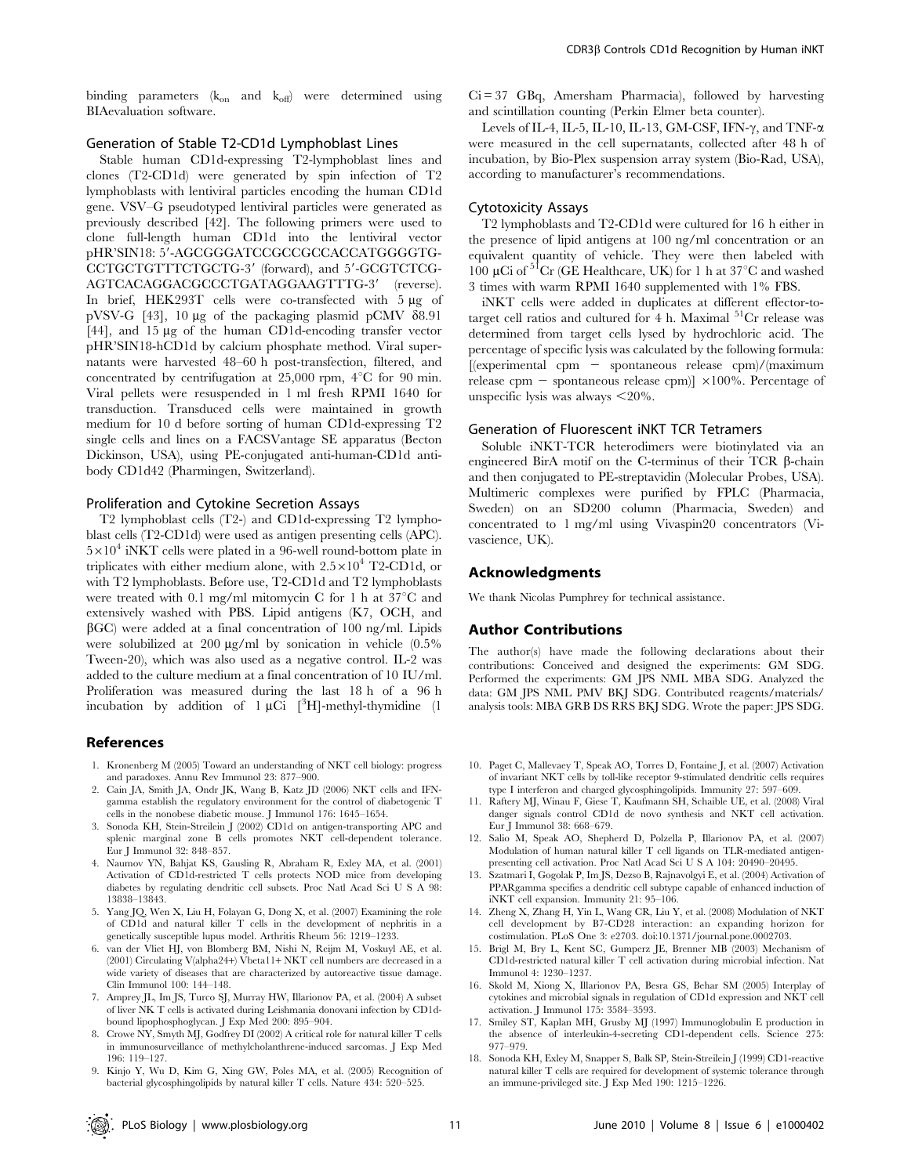binding parameters  $(k_{on}$  and  $k_{off}$ ) were determined using BIAevaluation software.

## Generation of Stable T2-CD1d Lymphoblast Lines

Stable human CD1d-expressing T2-lymphoblast lines and clones (T2-CD1d) were generated by spin infection of T2 lymphoblasts with lentiviral particles encoding the human CD1d gene. VSV–G pseudotyped lentiviral particles were generated as previously described [42]. The following primers were used to clone full-length human CD1d into the lentiviral vector pHR'SIN18: 5'-AGCGGGATCCGCCGCCACCATGGGGTG-CCTGCTGTTTCTGCTG-3' (forward), and 5'-GCGTCTCG-AGTCACAGGACGCCCTGATAGGAAGTTTG-3' (reverse). In brief, HEK293T cells were co-transfected with 5 µg of pVSV-G [43], 10  $\mu$ g of the packaging plasmid pCMV  $\delta$ 8.91 [44], and 15 µg of the human CD1d-encoding transfer vector pHR'SIN18-hCD1d by calcium phosphate method. Viral supernatants were harvested 48–60 h post-transfection, filtered, and concentrated by centrifugation at  $25,000$  rpm,  $4^{\circ}$ C for 90 min. Viral pellets were resuspended in 1 ml fresh RPMI 1640 for transduction. Transduced cells were maintained in growth medium for 10 d before sorting of human CD1d-expressing T2 single cells and lines on a FACSVantage SE apparatus (Becton Dickinson, USA), using PE-conjugated anti-human-CD1d antibody CD1d42 (Pharmingen, Switzerland).

#### Proliferation and Cytokine Secretion Assays

T2 lymphoblast cells (T2-) and CD1d-expressing T2 lymphoblast cells (T2-CD1d) were used as antigen presenting cells (APC).  $5\times10^4$  iNKT cells were plated in a 96-well round-bottom plate in triplicates with either medium alone, with  $2.5 \times 10^4$  T2-CD1d, or with T2 lymphoblasts. Before use, T2-CD1d and T2 lymphoblasts were treated with 0.1 mg/ml mitomycin C for 1 h at  $37^{\circ}$ C and extensively washed with PBS. Lipid antigens (K7, OCH, and  $\beta$ GC) were added at a final concentration of 100 ng/ml. Lipids were solubilized at 200  $\mu$ g/ml by sonication in vehicle (0.5%) Tween-20), which was also used as a negative control. IL-2 was added to the culture medium at a final concentration of 10 IU/ml. Proliferation was measured during the last 18 h of a 96 h incubation by addition of  $1 \mu$ Ci  $[^{3}H]$ -methyl-thymidine (1

#### References

- 1. Kronenberg M (2005) Toward an understanding of NKT cell biology: progress and paradoxes. Annu Rev Immunol 23: 877–900.
- 2. Cain JA, Smith JA, Ondr JK, Wang B, Katz JD (2006) NKT cells and IFNgamma establish the regulatory environment for the control of diabetogenic T cells in the nonobese diabetic mouse. J Immunol 176: 1645–1654.
- 3. Sonoda KH, Stein-Streilein J (2002) CD1d on antigen-transporting APC and splenic marginal zone B cells promotes NKT cell-dependent tolerance. Eur J Immunol 32: 848–857.
- 4. Naumov YN, Bahjat KS, Gausling R, Abraham R, Exley MA, et al. (2001) Activation of CD1d-restricted T cells protects NOD mice from developing diabetes by regulating dendritic cell subsets. Proc Natl Acad Sci U S A 98: 13838–13843.
- 5. Yang JQ, Wen X, Liu H, Folayan G, Dong X, et al. (2007) Examining the role of CD1d and natural killer T cells in the development of nephritis in a genetically susceptible lupus model. Arthritis Rheum 56: 1219–1233.
- 6. van der Vliet HJ, von Blomberg BM, Nishi N, Reijm M, Voskuyl AE, et al. (2001) Circulating V(alpha24+) Vbeta11+ NKT cell numbers are decreased in a wide variety of diseases that are characterized by autoreactive tissue damage. Clin Immunol 100: 144–148.
- 7. Amprey JL, Im JS, Turco SJ, Murray HW, Illarionov PA, et al. (2004) A subset of liver NK T cells is activated during Leishmania donovani infection by CD1dbound lipophosphoglycan. J Exp Med 200: 895–904.
- 8. Crowe NY, Smyth MJ, Godfrey DI (2002) A critical role for natural killer T cells in immunosurveillance of methylcholanthrene-induced sarcomas. J Exp Med 196: 119–127.
- 9. Kinjo Y, Wu D, Kim G, Xing GW, Poles MA, et al. (2005) Recognition of bacterial glycosphingolipids by natural killer T cells. Nature 434: 520–525.

 $Ci = 37$  GBq, Amersham Pharmacia), followed by harvesting and scintillation counting (Perkin Elmer beta counter).

Levels of IL-4, IL-5, IL-10, IL-13, GM-CSF, IFN- $\gamma$ , and TNF- $\alpha$ were measured in the cell supernatants, collected after 48 h of incubation, by Bio-Plex suspension array system (Bio-Rad, USA), according to manufacturer's recommendations.

# Cytotoxicity Assays

T2 lymphoblasts and T2-CD1d were cultured for 16 h either in the presence of lipid antigens at 100 ng/ml concentration or an equivalent quantity of vehicle. They were then labeled with 100 µCi of  ${}^{51}$ Cr (GE Healthcare, UK) for 1 h at 37 ${}^{\circ}$ C and washed 3 times with warm RPMI 1640 supplemented with 1% FBS.

iNKT cells were added in duplicates at different effector-totarget cell ratios and cultured for 4 h. Maximal  $51Cr$  release was determined from target cells lysed by hydrochloric acid. The percentage of specific lysis was calculated by the following formula: [(experimental cpm 2 spontaneous release cpm)/(maximum release cpm - spontaneous release cpm)]  $\times 100\%$ . Percentage of unspecific lysis was always  $\leq 20\%$ .

#### Generation of Fluorescent iNKT TCR Tetramers

Soluble iNKT-TCR heterodimers were biotinylated via an engineered BirA motif on the C-terminus of their TCR  $\beta$ -chain and then conjugated to PE-streptavidin (Molecular Probes, USA). Multimeric complexes were purified by FPLC (Pharmacia, Sweden) on an SD200 column (Pharmacia, Sweden) and concentrated to 1 mg/ml using Vivaspin20 concentrators (Vivascience, UK).

# Acknowledgments

We thank Nicolas Pumphrey for technical assistance.

#### Author Contributions

The author(s) have made the following declarations about their contributions: Conceived and designed the experiments: GM SDG. Performed the experiments: GM JPS NML MBA SDG. Analyzed the data: GM JPS NML PMV BKJ SDG. Contributed reagents/materials/ analysis tools: MBA GRB DS RRS BKJ SDG. Wrote the paper: JPS SDG.

- 10. Paget C, Mallevaey T, Speak AO, Torres D, Fontaine J, et al. (2007) Activation of invariant NKT cells by toll-like receptor 9-stimulated dendritic cells requires type I interferon and charged glycosphingolipids. Immunity 27: 597–609.
- 11. Raftery MJ, Winau F, Giese T, Kaufmann SH, Schaible UE, et al. (2008) Viral danger signals control CD1d de novo synthesis and NKT cell activation. Eur J Immunol 38: 668–679.
- 12. Salio M, Speak AO, Shepherd D, Polzella P, Illarionov PA, et al. (2007) Modulation of human natural killer T cell ligands on TLR-mediated antigenpresenting cell activation. Proc Natl Acad Sci U S A 104: 20490–20495.
- 13. Szatmari I, Gogolak P, Im JS, Dezso B, Rajnavolgyi E, et al. (2004) Activation of PPARgamma specifies a dendritic cell subtype capable of enhanced induction of iNKT cell expansion. Immunity 21: 95–106.
- 14. Zheng X, Zhang H, Yin L, Wang CR, Liu Y, et al. (2008) Modulation of NKT cell development by B7-CD28 interaction: an expanding horizon for costimulation. PLoS One 3: e2703. doi:10.1371/journal.pone.0002703.
- 15. Brigl M, Bry L, Kent SC, Gumperz JE, Brenner MB (2003) Mechanism of CD1d-restricted natural killer T cell activation during microbial infection. Nat Immunol 4: 1230–1237.
- 16. Skold M, Xiong X, Illarionov PA, Besra GS, Behar SM (2005) Interplay of cytokines and microbial signals in regulation of CD1d expression and NKT cell activation. J Immunol 175: 3584–3593.
- 17. Smiley ST, Kaplan MH, Grusby MJ (1997) Immunoglobulin E production in the absence of interleukin-4-secreting CD1-dependent cells. Science 275: 977–979.
- 18. Sonoda KH, Exley M, Snapper S, Balk SP, Stein-Streilein J (1999) CD1-reactive natural killer T cells are required for development of systemic tolerance through an immune-privileged site. J Exp Med 190: 1215–1226.